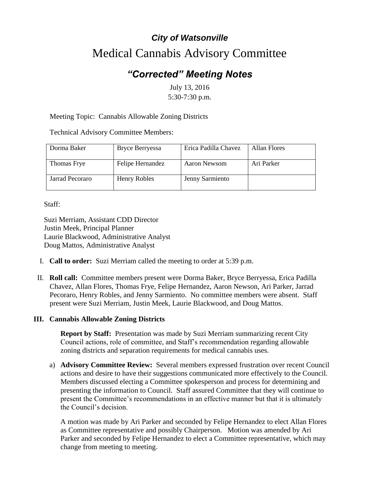## *City of Watsonville* Medical Cannabis Advisory Committee

## *"Corrected" Meeting Notes*

July 13, 2016 5:30-7:30 p.m.

Meeting Topic: Cannabis Allowable Zoning Districts

Technical Advisory Committee Members:

| Dorma Baker     | <b>Bryce Berryessa</b> | Erica Padilla Chavez | Allan Flores |
|-----------------|------------------------|----------------------|--------------|
| Thomas Frye     | Felipe Hernandez       | Aaron Newsom         | Ari Parker   |
| Jarrad Pecoraro | Henry Robles           | Jenny Sarmiento      |              |

Staff:

Suzi Merriam, Assistant CDD Director Justin Meek, Principal Planner Laurie Blackwood, Administrative Analyst Doug Mattos, Administrative Analyst

- I. **Call to order:** Suzi Merriam called the meeting to order at 5:39 p.m.
- II. **Roll call:** Committee members present were Dorma Baker, Bryce Berryessa, Erica Padilla Chavez, Allan Flores, Thomas Frye, Felipe Hernandez, Aaron Newson, Ari Parker, Jarrad Pecoraro, Henry Robles, and Jenny Sarmiento. No committee members were absent. Staff present were Suzi Merriam, Justin Meek, Laurie Blackwood, and Doug Mattos.

## **III. Cannabis Allowable Zoning Districts**

**Report by Staff:** Presentation was made by Suzi Merriam summarizing recent City Council actions, role of committee, and Staff's recommendation regarding allowable zoning districts and separation requirements for medical cannabis uses.

a) **Advisory Committee Review:** Several members expressed frustration over recent Council actions and desire to have their suggestions communicated more effectively to the Council. Members discussed electing a Committee spokesperson and process for determining and presenting the information to Council. Staff assured Committee that they will continue to present the Committee's recommendations in an effective manner but that it is ultimately the Council's decision.

A motion was made by Ari Parker and seconded by Felipe Hernandez to elect Allan Flores as Committee representative and possibly Chairperson. Motion was amended by Ari Parker and seconded by Felipe Hernandez to elect a Committee representative, which may change from meeting to meeting.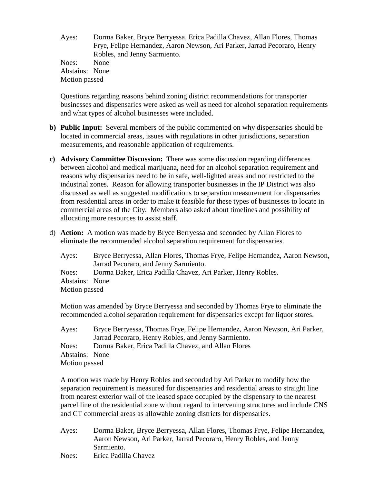Ayes: Dorma Baker, Bryce Berryessa, Erica Padilla Chavez, Allan Flores, Thomas Frye, Felipe Hernandez, Aaron Newson, Ari Parker, Jarrad Pecoraro, Henry Robles, and Jenny Sarmiento. Noes: None Abstains: None Motion passed

Questions regarding reasons behind zoning district recommendations for transporter businesses and dispensaries were asked as well as need for alcohol separation requirements and what types of alcohol businesses were included.

- **b) Public Input:** Several members of the public commented on why dispensaries should be located in commercial areas, issues with regulations in other jurisdictions, separation measurements, and reasonable application of requirements.
- **c) Advisory Committee Discussion:** There was some discussion regarding differences between alcohol and medical marijuana, need for an alcohol separation requirement and reasons why dispensaries need to be in safe, well-lighted areas and not restricted to the industrial zones. Reason for allowing transporter businesses in the IP District was also discussed as well as suggested modifications to separation measurement for dispensaries from residential areas in order to make it feasible for these types of businesses to locate in commercial areas of the City. Members also asked about timelines and possibility of allocating more resources to assist staff.
- d) **Action:** A motion was made by Bryce Berryessa and seconded by Allan Flores to eliminate the recommended alcohol separation requirement for dispensaries.

Ayes: Bryce Berryessa, Allan Flores, Thomas Frye, Felipe Hernandez, Aaron Newson, Jarrad Pecoraro, and Jenny Sarmiento. Noes: Dorma Baker, Erica Padilla Chavez, Ari Parker, Henry Robles. Abstains: None Motion passed

Motion was amended by Bryce Berryessa and seconded by Thomas Frye to eliminate the recommended alcohol separation requirement for dispensaries except for liquor stores.

Ayes: Bryce Berryessa, Thomas Frye, Felipe Hernandez, Aaron Newson, Ari Parker, Jarrad Pecoraro, Henry Robles, and Jenny Sarmiento. Noes: Dorma Baker, Erica Padilla Chavez, and Allan Flores Abstains: None Motion passed

A motion was made by Henry Robles and seconded by Ari Parker to modify how the separation requirement is measured for dispensaries and residential areas to straight line from nearest exterior wall of the leased space occupied by the dispensary to the nearest parcel line of the residential zone without regard to intervening structures and include CNS and CT commercial areas as allowable zoning districts for dispensaries.

Ayes: Dorma Baker, Bryce Berryessa, Allan Flores, Thomas Frye, Felipe Hernandez, Aaron Newson, Ari Parker, Jarrad Pecoraro, Henry Robles, and Jenny Sarmiento. Noes: Erica Padilla Chavez